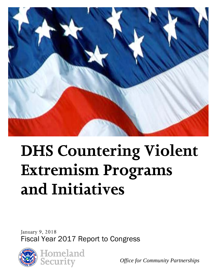

# **DHS Countering Violent Extremism Programs and Initiatives**

 January 9, 2018 Fiscal Year 2017 Report to Congress



*Office for Community Partnerships*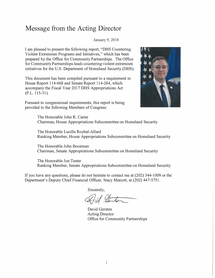#### **Message from the Acting Director**

January 9, 2018

I am pleased to present the following report, "DHS Countering Violent Extremism Programs and Initiatives," which has been prepared by the Office for Community Partnerships. The Office for Community Partnerships leads countering violent extremism initiatives for the U.S. Department of Homeland Security (OHS).

This document has been compiled pursuant to a requirement in House Report 114-668 and Senate Report 114-264, which accompany the Fiscal Year 2017 DHS Appropriations Act (P.L. 115-31).





The Honorable John R. Carter Chairman, House Appropriations Subcommittee on Homeland Security

The Honorable Lucille Roybal-Allard Ranking Member, House Appropriations Subcommittee on Homeland Security

The Honorable John Boozman Chairman, Senate Appropriations Subcommittee on Homeland Security

The Honorable Jon Tester Ranking Member, Senate Appropriations Subcommittee on Homeland Security

If you have any questions, please do not hesitate to contact me at (202) 344-1009 or the Department's Deputy Chief Financial Officer, Stacy Marcott, at (202) 44 7-5751.

Sincerely,

David Gersten Acting Director Office for Community Partnerships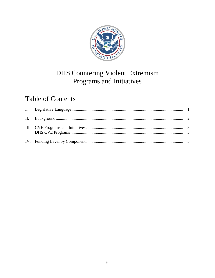

# **DHS Countering Violent Extremism** Programs and Initiatives

# **Table of Contents**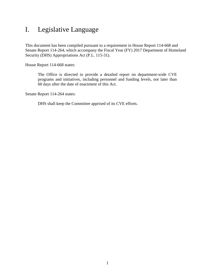### <span id="page-3-0"></span>I. Legislative Language

This document has been compiled pursuant to a requirement in House Report 114-668 and Senate Report 114-264, which accompany the Fiscal Year (FY) 2017 Department of Homeland Security (DHS) Appropriations Act (P.L. 115-31).

House Report 114-668 states:

The Office is directed to provide a detailed report on department-wide CVE programs and initiatives, including personnel and funding levels, not later than 60 days after the date of enactment of this Act.

Senate Report 114-264 states:

DHS shall keep the Committee apprised of its CVE efforts.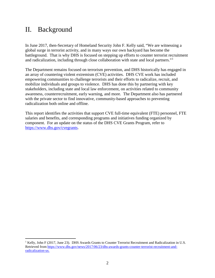### <span id="page-4-0"></span>II. Background

1

 and radicalization, including through close collaboration with state and local partners."[1](#page-4-1)  In June 2017, then-Secretary of Homeland Security John F. Kelly said, "We are witnessing a global surge in terrorist activity, and in many ways our own backyard has become the battleground. That is why DHS is focused on stepping up efforts to counter terrorist recruitment

The Department remains focused on terrorism prevention, and DHS historically has engaged in an array of countering violent extremism (CVE) activities. DHS CVE work has included empowering communities to challenge terrorists and their efforts to radicalize, recruit, and mobilize individuals and groups to violence. DHS has done this by partnering with key stakeholders, including state and local law enforcement, on activities related to community awareness, counterrecruitment, early warning, and more. The Department also has partnered with the private sector to find innovative, community-based approaches to preventing radicalization both online and offline.

This report identifies the activities that support CVE full-time equivalent (FTE) personnel, FTE salaries and benefits, and corresponding programs and initiatives funding organized by component. For an update on the status of the DHS CVE Grants Program, refer to [https://www.dhs.gov/cvegrants.](https://www.dhs.gov/cvegrants)

<span id="page-4-1"></span> $1$  Kelly, John F (2017, June 23). DHS Awards Grants to Counter Terrorist Recruitment and Radicalization in U.S. Retrieved from [https://www.dhs.gov/news/2017/06/23/dhs-awards-grants-counter-terrorist-recruitment-and](https://www.dhs.gov/news/2017/06/23/dhs-awards-grants-counter-terrorist-recruitment-and-radicalization-us)[radicalization-us.](https://www.dhs.gov/news/2017/06/23/dhs-awards-grants-counter-terrorist-recruitment-and-radicalization-us)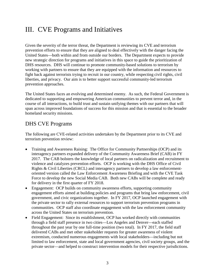# <span id="page-5-0"></span>III. CVE Programs and Initiatives

 Given the severity of the terror threat, the Department is reviewing its CVE and terrorism liberties, and privacy. Our aim is to better support successful community-led terrorism prevention approaches. prevention efforts to ensure that they are aligned to deal effectively with the danger facing the United States—both within and from outside our borders. The Department expects to provide new strategic direction for programs and initiatives in this space to guide the prioritization of DHS resources. DHS will continue to promote community-based solutions to terrorism by working with partners to ensure that they are equipped with the information and resources to fight back against terrorists trying to recruit in our country, while respecting civil rights, civil

 dedicated to supporting and empowering American communities to prevent terror and, in the The United States faces an evolving and determined enemy. As such, the Federal Government is course of all interactions, to build trust and sustain unifying themes with our partners that will span across improved foundations of success for this mission and that is essential to the broader homeland security missions.

#### <span id="page-5-1"></span>DHS CVE Programs

The following are CVE-related activities undertaken by the Department prior to its CVE and terrorism prevention review:

- • Training and Awareness Raising: The Office for Community Partnerships (OCP) and its Force to develop the new Social Media CAB. Both new CABs will be complete and ready for delivery in the first quarter of FY 2018. interagency partners expanded delivery of the Community Awareness Brief (CAB) in FY 2017. The CAB bolsters the knowledge of local partners on radicalization and recruitment to violence and catalyzes prevention efforts. OCP is working with the DHS Office of Civil Rights & Civil Liberties (CRCL) and interagency partners to develop a law enforcementoriented version called the Law Enforcement Awareness Briefing and with the CVE Task
- engagement efforts aimed at building policies and programs that bring law enforcement, civil communities. OCP staff also coordinate engagement with the law enforcement community • Engagement: OCP builds on community awareness efforts, supporting community government, and civic organizations together. In FY 2017, OCP launched engagement with the private sector to rally external resources to support terrorism prevention programs in across the United States on terrorism prevention.
- throughout the past year by one full-time position (two total). In FY 2017, the field staff delivered CABs and met other stakeholder requests for greater awareness of violent • Field Engagement: Since its establishment, OCP has worked directly with communities through a field staff presence in two cities—Los Angeles and Denver—each staffed extremism, conducted numerous engagements with local stakeholders—including but not limited to law enforcement, state and local government agencies, civil society groups, and the private sector—and helped to construct intervention models for their respective jurisdictions.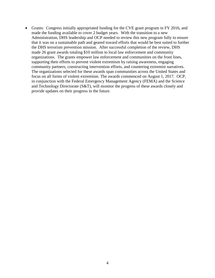• Grants: Congress initially appropriated funding for the CVE grant program in FY 2016, and made the funding available to cover 2 budget years. With the transition to a new made 26 grant awards totaling \$10 million to local law enforcement and community Administration, DHS leadership and OCP needed to review this new program fully to ensure that it was on a sustainable path and geared toward efforts that would be best suited to further the DHS terrorism prevention mission. After successful completion of the review, DHS organizations. The grants empower law enforcement and communities on the front lines, supporting their efforts to prevent violent extremism by raising awareness, engaging community partners, constructing intervention efforts, and countering extremist narratives. The organizations selected for these awards span communities across the United States and focus on all forms of violent extremism. The awards commenced on August 1, 2017. OCP, in conjunction with the Federal Emergency Management Agency (FEMA) and the Science and Technology Directorate (S&T), will monitor the progress of these awards closely and provide updates on their progress in the future.